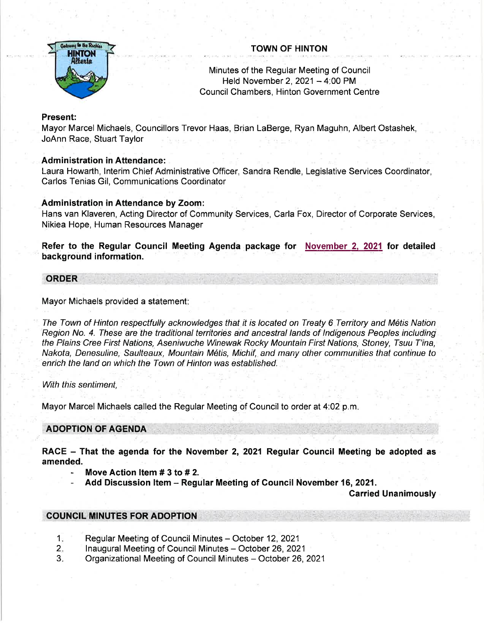

# TOWN OF HINTON

Minutes of the Regular Meeting of Council Held November 2,  $2021 - 4:00$  PM Council Chambers, Hinton Government Centre

# Present:

Mayor Marcel Michaels, Councillors Trevor Haas, Brian LaBerge, Ryan Maguhn, Albert Ostashek, JoAnn Race, Stuart Taylor

## Administration in Attendance:

Laura Howarth, lnterim Chief Administrative Officer, Sandra Rendle, Legislative Services Coordinator, Carlos Tenias Gil, Communications Coordinator

## Administration in Attendance by Zoom:

Hans van Klaveren, Acting Director of Community Services, Carla Fox, Director of Corporate Services, Nikiea Hope, Human Resources Manager

Refer to the Regular Council Meeting Agenda package for November 2, 2021 for detailed background information.

## **ORDER**

Mayor Michaels provided a statement

The Town of Hinton respectfully acknowledges that it is located on Treaty 6 Territory and M6tis Nation Region No. 4. These are the traditional territories and ancestral lands of Indigenous Peoples including the Plains Cree First Nations, Aseniwuche Winewak Rocky Mountain First Nations, Stoney, Tsuu T'ina, Nakota, Denesuline, Saulteaux, Mountain M6tis, Michif, and many other communities that continue to enrich the land on which the Town of Hinton was established.

With this sentiment.

Mayor Marcel Michaels called the Regular Meeting of Council to order at 4:02 p.m

# ADOPTION OF AGENDA

RACE - That the agenda for the November 2, 2021 Regular Council Meeting be adopted as amended.

- Move Action Item  $# 3$  to  $# 2$ .
- Add Discussion Item Regular Meeting of Council November 16, 2021.

Carried Unanimously

# **COUNCIL MINUTES FOR ADOPTION**

- Regular Meeting of Council Minutes October 12, 2021 1.
- Inaugural Meeting of Council Minutes October 26, 2021 2.
- Organizational Meeting of Council Minutes October 26, 2021 3.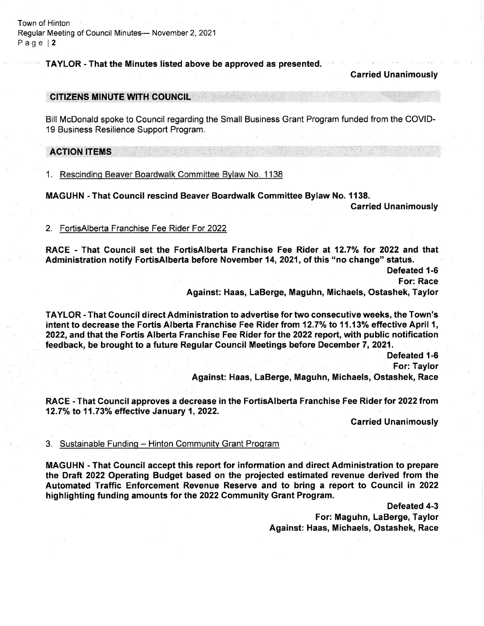Town of Hinton Regular Meeting of Council Minutes- November 2, 2021 Page l2

TAYLOR - That the Minutes listed above be approved as presented.

#### Garried Unanimously

#### **CITIZENS MINUTE WITH COUNCIL**

Bill McDonald spoke to Council regarding the Small Business Grant Program funded from the COVID-19 Business Resilience Support Program.

### **ACTION ITEMS**

1. Rescinding Beaver Boardwalk Committee Bylaw No. 1138

MAGUHN - That Gouncil rescind Beaver Boardwalk Gommittee Bylaw No. 1138.

Garried Unanimously

#### 2. FortisAlberta Franchise Fee Rider For 2022

RACE - That Council set the FortisAlberta Franchise Fee Rider at 12.7% for 2022 and that Administration notify FortisAlberta before November 14,2021, of this "no change" status.

Defeated 1-6

For: Race

Against: Haas, LaBerge, Maguhn, Michaels, Ostashek, Taylor

TAYLOR - That Council direct Administration to advertise for two consecutive weeks, the Town's intent to decrease the Fortis Alberta Franchise Fee Rider from 12.7% to 11.13% effective April 1, 2022, and that the Fortis Alberta Franchise Fee Rider for the 2022 report, with public notification feedback, be brought to a future Regular Gouncil Meetings before December 7, 2021.

> Defeated 1-6 For: Taylor<br>Against: Haas, LaBerge, Maguhn, Michaels, Ostashek, Race

RACE - That Council approves a decrease in the FortisAlberta Franchise Fee Rider for 2022 from 12.7% to 11.73% effective January 1, 2022.

Carried Unanimously

### 3. Sustainable Funding - Hinton Community Grant Program

MAGUHN - That Gouncil accept this report for information and direct Administration to prepare the Draft 2022 Operating Budget based on the projected estimated revenue derived from the Automated Traffic Enforcement Revenue Reserve and to bring a report to Gouncil tn 2022 highlighting funding amounts for the 2022 Community Grant Program.

> Defeated 4-3 For: Maguhn, LaBerge, Taylor Against: Haas, Michaels, Ostashek, Race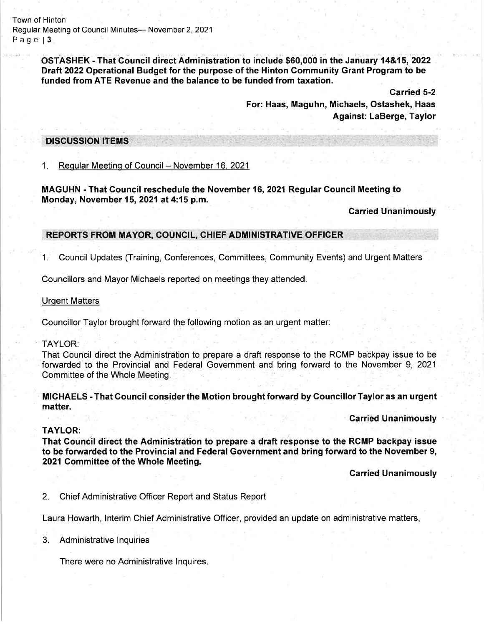Town of Hinton Regular Meeting of Council Minutes- November 2, 2021 Page 13

> OSTASHEK - That Council direct Administration to include \$60,000 in the January 14&15, 2022 Draft 2022 Operational Budget for the purpose of the Hinton Gommunity Grant Program to be funded from ATE Revenue and the balance to be funded from taxation.

> > Carried 5-2 For: Haas, Maguhn, Michaels, Ostashek, Haas Against: LaBerge, Taylor

#### **DISCUSSION ITEMS**

# 1. Regular Meeting of Council - November 16, 2021

MAGUHN - That Gouncil reschedule the November 16, 2021 Regular Council Meeting to Monday, November 15,2021at 4:15 p.m.

Carried Unanimously

## REPORTS FROM MAYOR, COUNCIL, CHIEF ADMINISTRATIVE OFFICER

1. Council Updates (Training, Conferences, Committees, Community Events) and Urgent Matters

Councillors and Mayor Michaels reported on meetings they attended

#### Urqent Matters

Councillor Taylor brought forward the following motion as an urgent matter:

### TAYLOR:

That Council direct the Administration to prepare a draft response to the RCMP backpay issue to be forwarded to the Provincial and Federal Government and bring forward to the November 9, 2021 Committee of the Whole Meeting.

MICHAELS - That Council consider the Motion brought forward by Councillor Taylor as an urgent matter.

Garried Unanimously

### TAYLOR:

That Council direct the Administration to prepare a draft response to the RCMP backpay issue to be forwarded to the Provincial and Federal Government and bring forward to the November 9, 2021 Committee of the Whole Meeting.

Carried Unanimously

2. Chief Administrative Officer Report and Status Report

Laura Howarth, lnterim Chief Administrative Officer, provided an update on administrative matters,

3. Administrative lnquiries

There were no Administrative lnquires